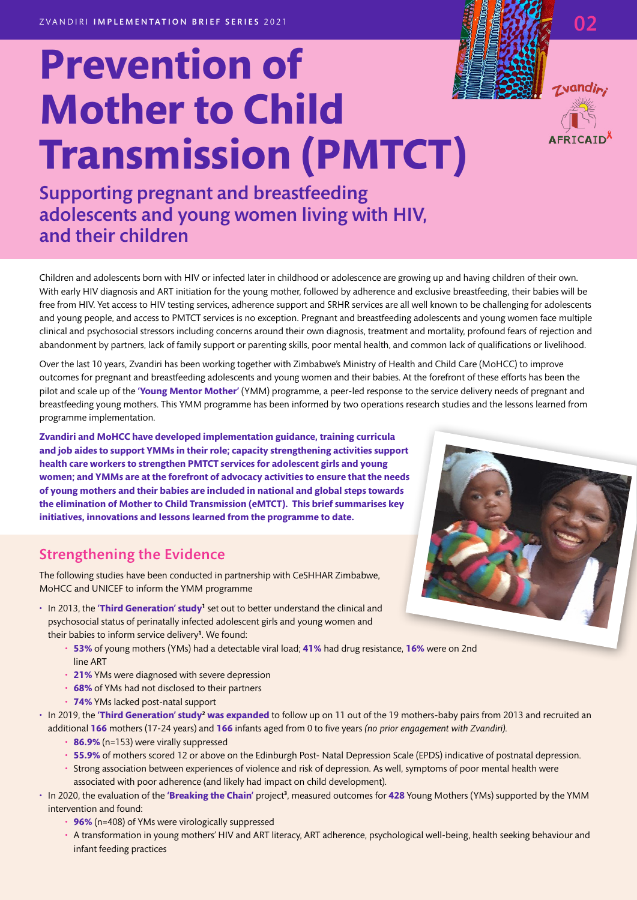# **Prevention of Mother to Child Transmission (PMTCT)**

Supporting pregnant and breastfeeding adolescents and young women living with HIV, and their children

Children and adolescents born with HIV or infected later in childhood or adolescence are growing up and having children of their own. With early HIV diagnosis and ART initiation for the young mother, followed by adherence and exclusive breastfeeding, their babies will be free from HIV. Yet access to HIV testing services, adherence support and SRHR services are all well known to be challenging for adolescents and young people, and access to PMTCT services is no exception. Pregnant and breastfeeding adolescents and young women face multiple clinical and psychosocial stressors including concerns around their own diagnosis, treatment and mortality, profound fears of rejection and abandonment by partners, lack of family support or parenting skills, poor mental health, and common lack of qualifications or livelihood.

Over the last 10 years, Zvandiri has been working together with Zimbabwe's Ministry of Health and Child Care (MoHCC) to improve outcomes for pregnant and breastfeeding adolescents and young women and their babies. At the forefront of these efforts has been the pilot and scale up of the **'Young Mentor Mother'** (YMM) programme, a peer-led response to the service delivery needs of pregnant and breastfeeding young mothers. This YMM programme has been informed by two operations research studies and the lessons learned from programme implementation.

**Zvandiri and MoHCC have developed implementation guidance, training curricula and job aides to support YMMs in their role; capacity strengthening activities support health care workers to strengthen PMTCT services for adolescent girls and young women; and YMMs are at the forefront of advocacy activities to ensure that the needs of young mothers and their babies are included in national and global steps towards the elimination of Mother to Child Transmission (eMTCT). This brief summarises key initiatives, innovations and lessons learned from the programme to date.**

## Strengthening the Evidence

The following studies have been conducted in partnership with CeSHHAR Zimbabwe, MoHCC and UNICEF to inform the YMM programme

- In 2013, the **'Third Generation' study<sup>1</sup>** set out to better understand the clinical and psychosocial status of perinatally infected adolescent girls and young women and their babies to inform service delivery**<sup>1</sup>** . We found:
	- **53%** of young mothers (YMs) had a detectable viral load; **41%** had drug resistance, **16%** were on 2nd line ART
	- **21%** YMs were diagnosed with severe depression
	- **68%** of YMs had not disclosed to their partners
	- **74%** YMs lacked post-natal support
- $\cdot$  In 2019, the **'Third Generation' study<sup>2</sup> was expanded** to follow up on 11 out of the 19 mothers-baby pairs from 2013 and recruited an additional **166** mothers (17-24 years) and **166** infants aged from 0 to five years *(no prior engagement with Zvandiri).*
	- **86.9%** (n=153) were virally suppressed
	- **55.9%** of mothers scored 12 or above on the Edinburgh Post- Natal Depression Scale (EPDS) indicative of postnatal depression.
	- Strong association between experiences of violence and risk of depression. As well, symptoms of poor mental health were associated with poor adherence (and likely had impact on child development).
- $\cdot$  In 2020, the evaluation of the **'Breaking the Chain' p**roject<sup>3</sup>, measured outcomes for **428** Young Mothers (YMs) supported by the YMM intervention and found:
	- **96%** (n=408) of YMs were virologically suppressed
	- A transformation in young mothers' HIV and ART literacy, ART adherence, psychological well-being, health seeking behaviour and infant feeding practices



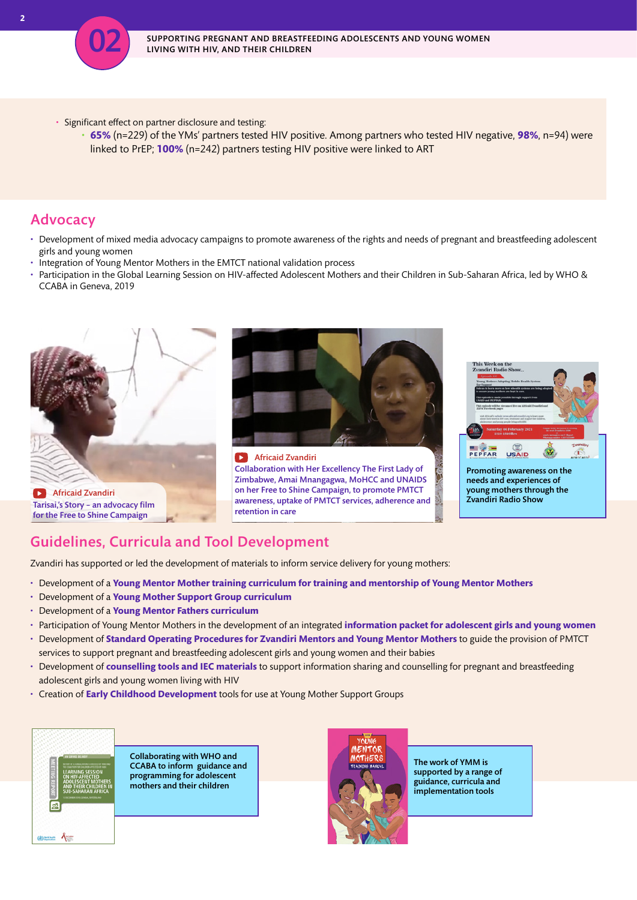

- Significant effect on partner disclosure and testing:
	- **65%** (n=229) of the YMs' partners tested HIV positive. Among partners who tested HIV negative, **98%**, n=94) were linked to PrEP; **100%** (n=242) partners testing HIV positive were linked to ART

### Advocacy

- Development of mixed media advocacy campaigns to promote awareness of the rights and needs of pregnant and breastfeeding adolescent girls and young women
- Integration of Young Mentor Mothers in the EMTCT national validation process
- Participation in the Global Learning Session on HIV-affected Adolescent Mothers and their Children in Sub-Saharan Africa, led by WHO & CCABA in Geneva, 2019



## Guidelines, Curricula and Tool Development

Zvandiri has supported or led the development of materials to inform service delivery for young mothers:

- Development of a **Young Mentor Mother training curriculum for training and mentorship of Young Mentor Mothers**
- Development of a **Young Mother Support Group curriculum**
- Development of a **Young Mentor Fathers curriculum**
- Participation of Young Mentor Mothers in the development of an integrated **information packet for adolescent girls and young women**
- Development of **Standard Operating Procedures for Zvandiri Mentors and Young Mentor Mothers** to guide the provision of PMTCT services to support pregnant and breastfeeding adolescent girls and young women and their babies
- Development of **counselling tools and IEC materials** to support information sharing and counselling for pregnant and breastfeeding adolescent girls and young women living with HIV
- Creation of **Early Childhood Development** tools for use at Young Mother Support Groups



Collaborating with WHO and CCABA to inform guidance and programming for adolescent mothers and their children



The work of YMM is supported by a range of guidance, curricula and implementation tools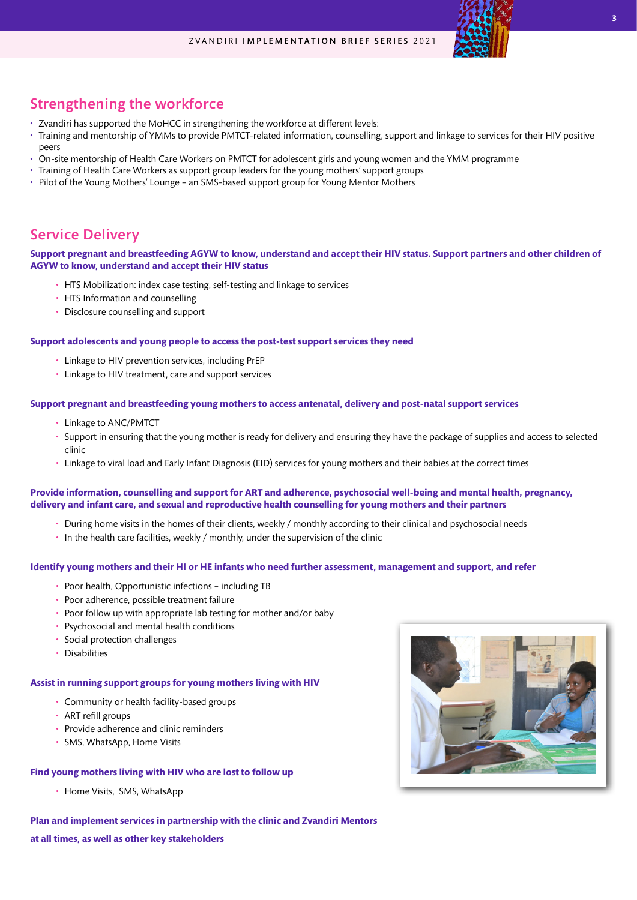#### ZVANDIRI IMPLEMENTATION BRIEF SERIES 2021

## Strengthening the workforce

- Zvandiri has supported the MoHCC in strengthening the workforce at different levels:
- Training and mentorship of YMMs to provide PMTCT-related information, counselling, support and linkage to services for their HIV positive peers
- On-site mentorship of Health Care Workers on PMTCT for adolescent girls and young women and the YMM programme
- Training of Health Care Workers as support group leaders for the young mothers' support groups
- Pilot of the Young Mothers' Lounge an SMS-based support group for Young Mentor Mothers

## Service Delivery

#### **Support pregnant and breastfeeding AGYW to know, understand and accept their HIV status. Support partners and other children of AGYW to know, understand and accept their HIV status**

- HTS Mobilization: index case testing, self-testing and linkage to services
- HTS Information and counselling
- Disclosure counselling and support

#### **Support adolescents and young people to access the post-test support services they need**

- Linkage to HIV prevention services, including PrEP
- Linkage to HIV treatment, care and support services

#### **Support pregnant and breastfeeding young mothers to access antenatal, delivery and post-natal support services**

- Linkage to ANC/PMTCT
- Support in ensuring that the young mother is ready for delivery and ensuring they have the package of supplies and access to selected clinic
- Linkage to viral load and Early Infant Diagnosis (EID) services for young mothers and their babies at the correct times

#### **Provide information, counselling and support for ART and adherence, psychosocial well-being and mental health, pregnancy, delivery and infant care, and sexual and reproductive health counselling for young mothers and their partners**

- During home visits in the homes of their clients, weekly / monthly according to their clinical and psychosocial needs
- In the health care facilities, weekly / monthly, under the supervision of the clinic

#### **Identify young mothers and their HI or HE infants who need further assessment, management and support, and refer**

- Poor health, Opportunistic infections including TB
- Poor adherence, possible treatment failure
- Poor follow up with appropriate lab testing for mother and/or baby
- Psychosocial and mental health conditions
- Social protection challenges
- Disabilities

#### **Assist in running support groups for young mothers living with HIV**

- Community or health facility-based groups
- ART refill groups
- Provide adherence and clinic reminders
- SMS, WhatsApp, Home Visits

#### **Find young mothers living with HIV who are lost to follow up**

• Home Visits, SMS, WhatsApp

**Plan and implement services in partnership with the clinic and Zvandiri Mentors** 

**at all times, as well as other key stakeholders** 

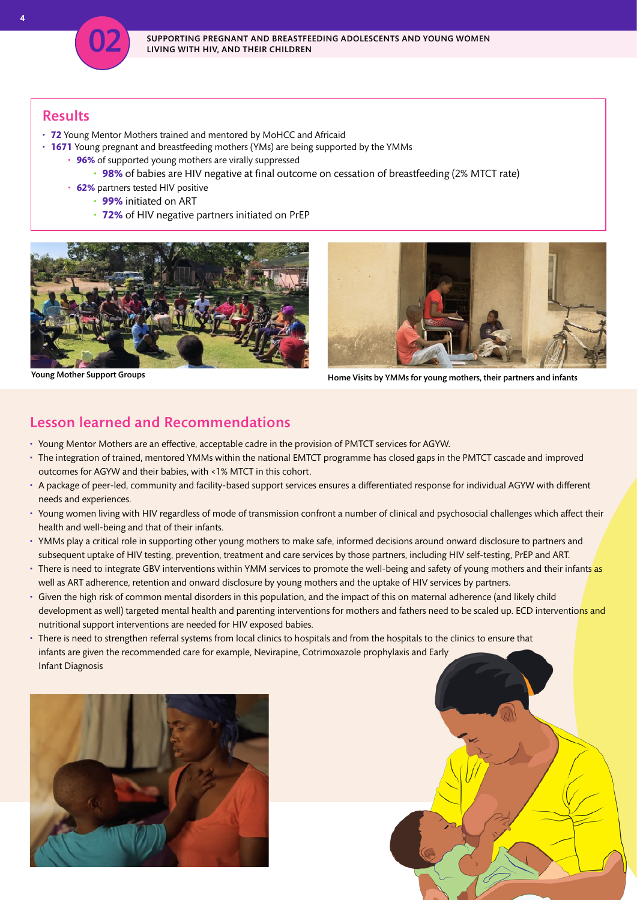

## Results

- **72** Young Mentor Mothers trained and mentored by MoHCC and Africaid
- **1671** Young pregnant and breastfeeding mothers (YMs) are being supported by the YMMs
	- **96%** of supported young mothers are virally suppressed
		- **98%** of babies are HIV negative at final outcome on cessation of breastfeeding (2% MTCT rate)
	- **62%** partners tested HIV positive
		- **99%** initiated on ART
		- **72%** of HIV negative partners initiated on PrEP





Young Mother Support Groups Home Visits by YMMs for young mothers, their partners and infants

## Lesson learned and Recommendations

- Young Mentor Mothers are an effective, acceptable cadre in the provision of PMTCT services for AGYW.
- The integration of trained, mentored YMMs within the national EMTCT programme has closed gaps in the PMTCT cascade and improved outcomes for AGYW and their babies, with <1% MTCT in this cohort.
- A package of peer-led, community and facility-based support services ensures a differentiated response for individual AGYW with different needs and experiences.
- Young women living with HIV regardless of mode of transmission confront a number of clinical and psychosocial challenges which affect their health and well-being and that of their infants.
- YMMs play a critical role in supporting other young mothers to make safe, informed decisions around onward disclosure to partners and subsequent uptake of HIV testing, prevention, treatment and care services by those partners, including HIV self-testing, PrEP and ART.
- There is need to integrate GBV interventions within YMM services to promote the well-being and safety of young mothers and their infants as well as ART adherence, retention and onward disclosure by young mothers and the uptake of HIV services by partners.
- Given the high risk of common mental disorders in this population, and the impact of this on maternal adherence (and likely child development as well) targeted mental health and parenting interventions for mothers and fathers need to be scaled up. ECD interventions and nutritional support interventions are needed for HIV exposed babies.
- There is need to strengthen referral systems from local clinics to hospitals and from the hospitals to the clinics to ensure that infants are given the recommended care for example, Nevirapine, Cotrimoxazole prophylaxis and Early Infant Diagnosis